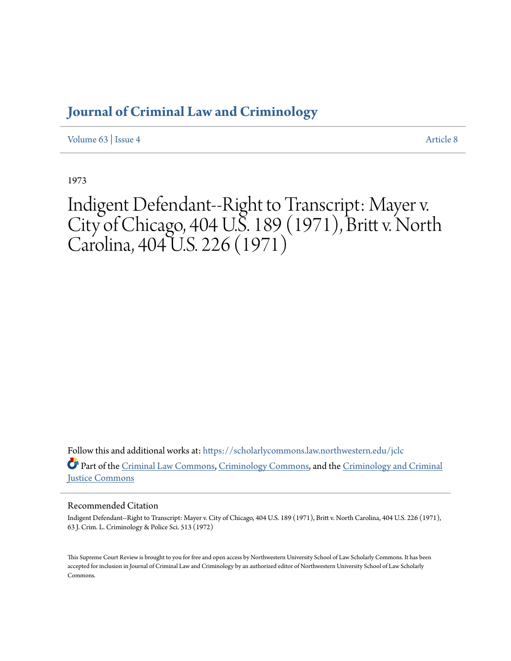## **[Journal of Criminal Law and Criminology](https://scholarlycommons.law.northwestern.edu/jclc?utm_source=scholarlycommons.law.northwestern.edu%2Fjclc%2Fvol63%2Fiss4%2F8&utm_medium=PDF&utm_campaign=PDFCoverPages)**

[Volume 63](https://scholarlycommons.law.northwestern.edu/jclc/vol63?utm_source=scholarlycommons.law.northwestern.edu%2Fjclc%2Fvol63%2Fiss4%2F8&utm_medium=PDF&utm_campaign=PDFCoverPages) | [Issue 4](https://scholarlycommons.law.northwestern.edu/jclc/vol63/iss4?utm_source=scholarlycommons.law.northwestern.edu%2Fjclc%2Fvol63%2Fiss4%2F8&utm_medium=PDF&utm_campaign=PDFCoverPages) [Article 8](https://scholarlycommons.law.northwestern.edu/jclc/vol63/iss4/8?utm_source=scholarlycommons.law.northwestern.edu%2Fjclc%2Fvol63%2Fiss4%2F8&utm_medium=PDF&utm_campaign=PDFCoverPages)

1973

Indigent Defendant--Right to Transcript: Mayer v. City of Chicago, 404 U.S. 189 (1971), Britt v. North Carolina, 404 U.S. 226 (1971)

Follow this and additional works at: [https://scholarlycommons.law.northwestern.edu/jclc](https://scholarlycommons.law.northwestern.edu/jclc?utm_source=scholarlycommons.law.northwestern.edu%2Fjclc%2Fvol63%2Fiss4%2F8&utm_medium=PDF&utm_campaign=PDFCoverPages) Part of the [Criminal Law Commons](http://network.bepress.com/hgg/discipline/912?utm_source=scholarlycommons.law.northwestern.edu%2Fjclc%2Fvol63%2Fiss4%2F8&utm_medium=PDF&utm_campaign=PDFCoverPages), [Criminology Commons](http://network.bepress.com/hgg/discipline/417?utm_source=scholarlycommons.law.northwestern.edu%2Fjclc%2Fvol63%2Fiss4%2F8&utm_medium=PDF&utm_campaign=PDFCoverPages), and the [Criminology and Criminal](http://network.bepress.com/hgg/discipline/367?utm_source=scholarlycommons.law.northwestern.edu%2Fjclc%2Fvol63%2Fiss4%2F8&utm_medium=PDF&utm_campaign=PDFCoverPages) [Justice Commons](http://network.bepress.com/hgg/discipline/367?utm_source=scholarlycommons.law.northwestern.edu%2Fjclc%2Fvol63%2Fiss4%2F8&utm_medium=PDF&utm_campaign=PDFCoverPages)

## Recommended Citation

Indigent Defendant--Right to Transcript: Mayer v. City of Chicago, 404 U.S. 189 (1971), Britt v. North Carolina, 404 U.S. 226 (1971), 63 J. Crim. L. Criminology & Police Sci. 513 (1972)

This Supreme Court Review is brought to you for free and open access by Northwestern University School of Law Scholarly Commons. It has been accepted for inclusion in Journal of Criminal Law and Criminology by an authorized editor of Northwestern University School of Law Scholarly Commons.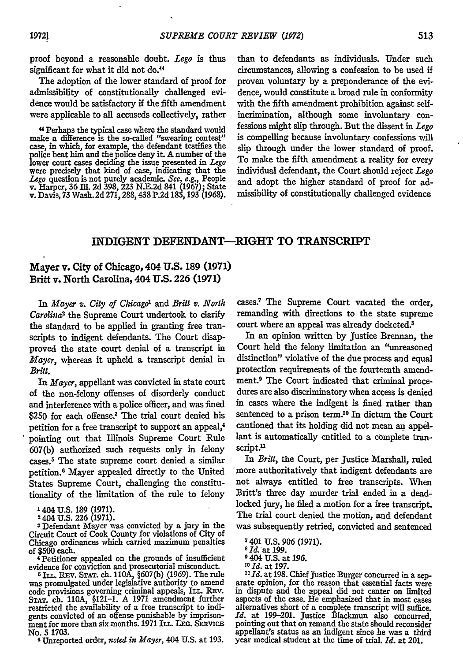proof beyond a reasonable doubt. *Lego* is thus significant for what it did not do.<sup>44</sup>

The adoption of the lower standard of proof for admissibility of constitutionally challenged evidence would be satisfactory if the fifth amendment were applicable to all accuseds collectively, rather

"Perhaps the typical case where the standard would make a difference is the so-called "swearing contest" case, in which, for example, the defendant testifies the police beat him and the police deny it. A number of the lower court cases deciding the issue presented in *Lego* were precisely that kind of case, indicating that the *Lego* question is not purely academic. *See,* e.g., People v. Harper, **36 Ill. 2d 398, 223 N.E.2d** 841 **(1967);** State v. Davis, **73** Wash. **2d 271,288,438 P.2d 185,193 (1968).** than to defendants as individuals. Under such circumstances, allowing a confession to be used if proven voluntary **by** a preponderance of the evidence, would constitute a broad rule in conformity with the fifth amendment prohibition against selfincrimination, although some involuntary confessions might slip through. But the dissent in *Lego* is compelling because involuntary confessions will slip through under the lower standard of proof. To make the fifth amendment a reality for every individual defendant, the Court should reject *Lego* and adopt the higher standard of proof for admissibility of constitutionally challenged evidence

## INDIGENT DEFENDANT-RIGHT TO TRANSCRIPT

## Mayer v. City of Chicago, 404 **U.S. 189 (1971)** Britt v. North Carolina, 404 **U.S. 226 (1971)**

In *Mayer v. City of Chicago*<sup>1</sup> and *Britt v. North Carolina'* the Supreme Court undertook to clarify the standard to be applied in granting free transcripts to indigent defendants. The Court disapproved the state court denial of a transcript in *Mayer,* whereas it upheld a transcript denial in *Britt.*

*In Mayer,* appellant was convicted in state court of the non-felony offenses of disorderly conduct and interference with a police officer, and was fined \$250 for each offense.<sup>3</sup> The trial court denied his petition for a free transcript to support an appeal,<sup>4</sup> pointing out that Illinois Supreme Court Rule 607(b) authorized such requests only in felony cases.5 The state supreme court denied a similar petition.6 Mayer appealed directly to the United States Supreme Court, challenging the constitutionality of the limitation of the rule to felony

1404 U.S. 189 (1971).

2 404 U.S. 226 (1971).

**3** Defendant Mayer was convicted by a jury in the Circuit Court of Cook County for violations of City of Chicago ordinances which carried maximum penalties of \$500 each.

4 Petitioner appealed on the grounds of insufficient

evidence for conviction and prosecutorial misconduct.<br><sup>5</sup> ILL. REV. STAT. ch. 110A, §607(b) (1969). The rule was promulgated under legislative authority to amend code provisions governing criminal appeals, ILL. REv. **STAT.** ch. 110A, §121-1. A 1971 amendment further restricted the availability of a free transcript to indigents convicted of an offense punishable by imprisonment for more than six months. 1971 ILL. LEG. SERVICE No. *5* 1703.

**<sup>6</sup>**Unreported order, *noted in Mayer,* 404 **U.S.** at **193.**

cases.<sup>7</sup> The Supreme Court vacated the order, remanding with directions to the state supreme court where an appeal was already docketed.<sup>8</sup>

In an opinion written by Justice Brennan, the Court held the felony limitation an "unreasoned distinction" violative of the due process and equal protection requirements of the fourteenth amendment.9 The Court indicated that criminal procedures are also discriminatory when access is denied in cases where the indigent is fined rather than sentenced to a prison term.<sup>10</sup> In dictum the Court cautioned that its holding did not mean an appellant is automatically entitled to a complete transcript.<sup>11</sup>

In *Britt,* the Court, per Justice Marshall, ruled more authoritatively that indigent defendants are not always entitled to free transcripts. When Britt's three day murder trial ended in a deadlocked jury, he filed a motion for a free transcript. The trial court denied the motion, and defendant was subsequently retried, convicted and sentenced

**9** 404 U.S. at 196.

*10 Id.* at **197.**

*1Id.* at 198. Chief Justice Burger concurred in a separate opinion, for the reason that essential facts were in dispute and the appeal did not center on limited aspects of the case. He emphasized that in most cases alternatives short of a complete transcript will suffice.  $Id$ . at 199-201. Justice Blackmun also concurred, pointing out that **on** remand the state should reconsider appellant's status as an indigent since he was a third year medical student at the time of trial. *Id.* at 201.

**<sup>7</sup>**401 U.S. 906 (1971). **<sup>8</sup>**Id.'at **199.**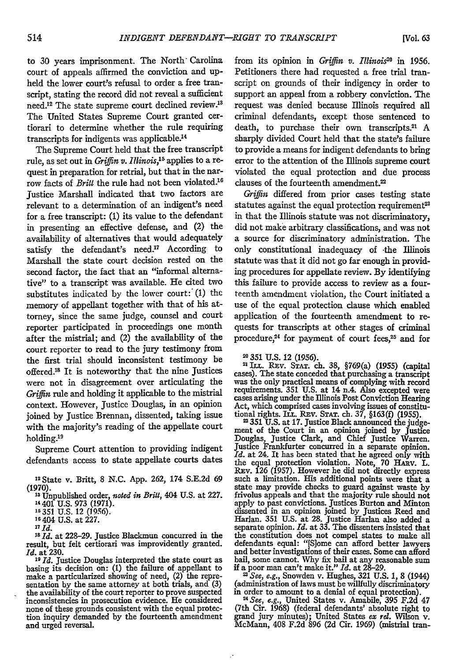to 30 years imprisonment. The North Carolina court of appeals affirmed the conviction and upheld the lower court's refusal to order a free transcript, stating the record did not reveal a sufficient need.<sup>12</sup> The state supreme court declined review.<sup>13</sup> The United States Supreme Court granted certiorari to determine whether the rule requiring transcripts for indigents was applicable. <sup>14</sup>

The Supreme Court held that the free transcript rule, as set out in *Griffin v. Illinois, <sup>5</sup>*applies to a request in preparation for retrial, but that in the narrow facts of *Britt* the rule had not been violated.<sup>16</sup> Justice Marshall indicated that two factors are relevant to a determination of an indigent's need for a free transcript: (1) its value to the defendant in presenting an effective defense, and (2) the availability of alternatives that would adequately satisfy the defendant's need.<sup>17</sup> According to Marshall the state court decision rested on the second factor, the fact that an "informal alternative" to a transcript was available. He cited two substitutes indicated by the lower court:  $(1)$  the memory of appellant together with that of his attorney, since the same judge, counsel and court reporter participated in proceedings one month after the mistrial; and (2) the availability of the court reporter to read to the jury testimony from the first trial should inconsistent testimony be offered.<sup>18</sup> It is noteworthy that the nine Justices were not in disagreement over articulating the *Griffin* rule and holding it applicable to the mistrial context. However, Justice Douglas, in an opinion joined by Justice Brennan, dissented, taking issue with the majority's reading of the appellate court holding.19

Supreme Court attention to providing indigent defendants access to state appellate courts dates

**16404** U.S. at 227.

**17Id.**

*3" Id.* at 228-29. Justice Blackmun concurred in the result, but felt certiorari was improvidently granted. *Id.* at 230.<br><sup>19</sup> *Id.* Justice Douglas interpreted the state court as

basing its decision on: (1) the failure of appellant to make a particularized showing of need, (2) the repre-sentation by the same attorney at both trials, and (3) the availability of the court reporter to prove suspected inconsistencies in prosecution evidence. He considered none of these grounds consistent with the equal protecton inquiry demanded **by** the fourteenth amendment and urged reversal.

from its opinion in *Griffin v. Illinois2o* in 1956. Petitioners there had requested a free trial transcript on grounds of their indigency in order to support an appeal from a robbery conviction. The request was denied because Illinois required all criminal defendants, except those sentenced to death, to purchase their own transcripts.<sup>21</sup> A sharply divided Court held that the state's failure to provide a means for indigent defendants to bring error to the attention of the Illinois supreme court violated the equal protection and due process clauses of the fourteenth amendment.

*Griffin* differed from prior cases testing state statutes against the equal protection requirement<sup>23</sup> in that the Illinois statute was not discriminatory, did not make arbitrary classifications, and was not a source for discriminatory administration. The only constitutional inadequacy of -the Illinois statute was that it did not go far enough in providing procedures for appellate review. By identifying this failure to provide access to review as a fourteenth amendment violation, the Court initiated a use of the equal protection clause which enabled application of the fourteenth amendment to requests for transcripts at other stages of criminal procedure, $24$  for payment of court fees, $25$  and for

<sup>21</sup> ILL. REV. STAT. ch. 38, §769(a) (1955) (capital cases). The state conceded that purchasing a transcript was the only practical means of complying with record requirements. 351 U.S. at 14 n.4. Also excepted were cases arising under the Illinois Post Conviction Hearing Act, which comprised cases involving issues of constitu-

tional rights. ILL. Rv. **STAT.** ch. **37, §163(f) (1955).** "351 **U.S.** at **17.** Justice Black announced the judge-ment of the Court in an opinion joined **by** Justice Douglas, Justice Clark, and Chief Justice Warren. Justice Frankfurter concurred in a separate opinion. *Id.* at 24. It has been stated that he agreed only with the equal protection violation. Note, 70 Hamv. L. REv. 126 (1957). However he did not directly express such a limitation. His additional points were that a state may provide checks to guard against waste by frivolus appeals and that the majority rule should not apply to past convictions. Justices Burton and Minton dissented in an opinion joined by Justices Reed and Harlan. 351 U.S. at 28. Justice Harlan also added a separate opinion. *Id.* at **33.** The dissenters insisted that the constitution does not compel states to make all defendants equal: "[Slome can afford better lawyers and better investigations of their cases. Some can afford bail, some cannot. Why fix bail at any reasonable sum if a poor man can't make it." *Id.* at 28-29.

*"See, e.g.,* Snowden v. Hughes, 321 U.S. 1, **8** (1944) (administration of laws must be willfully discriminatory in order to amount to a denial of equal protection). *<sup>2</sup>See, e.g.,* United States v. Amabile, 395 F.2d 47

(7th Cir. 1968) (federal defendants' absolute right to grand jury minutes); United States *ex rd.* Wilson v. McMann, 408 F.2d 896 (2d Cir. 1969) (mistrial tran-

**<sup>2</sup>**State v. Britt, 8 N.C. App. **262,** 174 S.E.2d **69 (1970).**

**<sup>&</sup>quot;3** Unpublished order, *noted in Brilt,* 404 U.S. at **227.**

<sup>14 401</sup> U.S. **973** (1971). **<sup>16351</sup>**U.S. 12 **(1956).**

<sup>20</sup> **351** U.S. 12 (1956).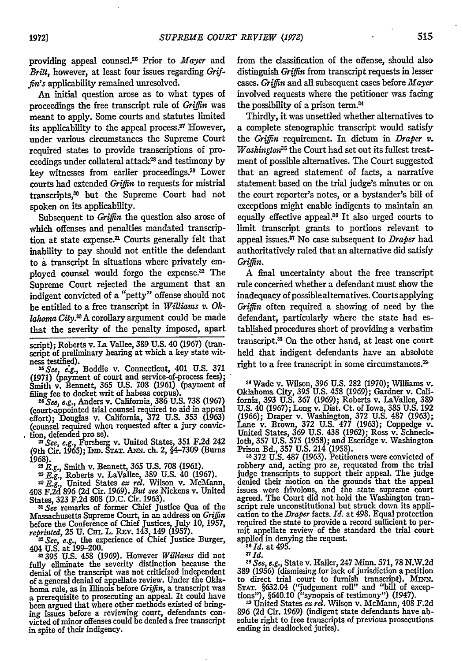providing appeal counsel 25 Prior to *Mayer* and *Britt,* however, at least four issues regarding *Griffin's* applicability remained unresolved.

An initial question arose as to what types of proceedings the free transcript rule of *Griffin* was meant to apply. Some courts and statutes limited its applicability to the appeal process. $27$  However, under various circumstances the Supreme Court required states to provide transcriptions of pro- ${\rm c}$ eedings under collateral attack $^{23}$  and testimony by key witnesses from earlier proceedings.29 Lower courts had extended *Griffin* to requests for mistrial transcripts,<sup>30</sup> but the Supreme Court had not spoken on its applicability.

Subsequent to *Griffin* the question also arose of which offenses and penalties mandated transcription at state expense.<sup>31</sup> Courts generally felt that inability to pay should not entitle the defendant to a transcript in situations where privately employed counsel would forgo the expense.<sup>32</sup> The Supreme Court rejected the argument that an indigent convicted of a "petty" offense should not be entitled to a free transcript in *Williams v. Oklahoma City."A* corollary argument could be made that the severity of the penalty imposed, apart

script); Roberts v. La Vallee, 389 U.S. 40 (1967) (transcript of preliminary hearing at which a key state wit-<br>ness testified).

ness testified).<br><sup>25</sup> *See, e.g.*, Boddie v. Connecticut, 401 U.S. 371<br>(1971) (payment of court and service-of-process fees);<br>Smith v. Bennett, 365 U.S. 708 (1961) (payment of

filing fee to docket writ of habeas corpus). *26 See, e.g.,* Anders v. California, 386 U.S. 738 (1967) (court-appointed trial counsel required to aid in appeal effort); Douglas v. California, **372** U.S. **353** (1963) (counsel required when requested after a jury conviction, defended pro se).

**<sup>27</sup>***See, e.g.,* Forsberg v. United States, 351 F.2d 242 (9th Cir. **1965);** IND. **STAT.** ANx. ch. 2, **§4-7309** (Burns

**1968).** *2 E.g.,* Smith v. Bennett, **365 U.S.** 708 **(1961).** *<sup>2</sup>*

*) E.g.,* Roberts v. LaVallee, **389 U.S.** 40 **(1967).** *3O E.g.,* United States *ex rel.* Wilson v. McMann,

408 **F.2d 896 (2d** Cir. **1969).** *But see* Nickens v. United States, **323 F.2d 808 (D.C.** Cir. **1963).**

*31 See* remarks of former Chief Justice Qua of the Massachusetts Supreme Court, in an address on *Griffin* before the Conference of Chief Justices, July 10, **1957,** *reprinted,* 25 U. CHi. L. REv. 143, 149 (1957).

**<sup>2</sup>***See, e.g.,* the experience of Chief Justice Burger, 404 U.S. at 199-200.

**395** U.S. 458 (1969). However *Williams* did not fully eliminate the severity distinction because the denial of the transcript was not criticized independen of a general denial of appellate review. Under the Oklahoma rule, as in Illinois before *Griffin,* a transcript was a prerequisite to prosecuting an appeal. It could have been argued that where other methods existed of bringing issues before a reviewing court, defendants convicted of minor offenses could be denied a free transcript in spite of their indigency.

from the classification of the offense, should also distinguish *Griffin* from transcript requests in lesser cases. *Griffin* and all subsequent cases before *Mayer* involved requests where the petitioner was facing the possibility of a prison term.<sup>34</sup>

Thirdly, it was unsettled whether alternatives to a complete stenographic transcript would satisfy the *Griffin* requirement. In dictum in *Draper v. Washington*<sup>35</sup> the Court had set out its fullest treatment of possible alternatives. The Court suggested that an agreed statement of facts, a narrative statement based on the trial judge's minutes or on the court reporter's notes, or a bystander's bill of exceptions might enable indigents to maintain an equally effective appeal.<sup>36</sup> It also urged courts to limit transcript grants to portions relevant to appeal issues.? No case subsequent to *Draper* had authoritatively ruled that an alternative did satisfy *Griffin.*

A final uncertainty about the free transcript rule concerned whether a defendant must show the inadequacy of possible alternatives. Courts applying *Griffin* often required a showing of need by the defendant, particularly where the state had established procedures short of providing a verbatim transcript.<sup>33</sup> On the other hand, at least one court held that indigent defendants have an absolute right to a free transcript in some circumstances.<sup>39</sup>

Wade v. Wilson, 396 U.S. **282** (1970); Williams v. Oklahoma City, 395 U.S. 458 (1969); Gardner v. California, 393 U.S. 367 (1969); Roberts v. LaVallee, 389<br>U.S. 40 (1967); Long v. Dist. Ct. of Iowa, 385 U.S. 192<br>U.S. 40 (1967); Long v. Dist. Ct. of Iowa, 385 U.S. 192<br>(1966 United States, 369 U.S. 438 (1962); Ross v. Schneckloth, **357** U.S. 575 (1958); and Escridge v. Washington Prison Bd., 357 U.S. 214 (1958). **35372** U.S. 487 (1963). Petitioners were convicted of

robbery and, acting pro se, requested from the trial robbery and, acting pro se, requested from the trial judge transcripts to support their appeal. The judge denied their motion on the grounds that the appeal issues were frivolous, and the state supreme court agreed. The Court did not hold the Washington transcript rule unconstitutional but struck down its application to the *Draper* facts. *Id.* at 498. Equal protection required the state to provide a record sufficient to permit appellate review of the standard the trial court applied in denying the request.

<sup>36</sup> *Id.* at 495.

*3 Id. <sup>3</sup>*

*8 See, e.g.,* State v. Hailer, 247 Minn. 571, 78 N.W.2d **389** (1956) (dismissing for lack of jurisdiction a petition to direct trial court to furnish transcript). Mnwm. **STAT.** §632.04 ("judgement roll" and "bill of excep-

tions"), §640.10 ("synopsis of testimony") (1947). **39** United States *ex ret.* Wilson v. McMann, 408 F.2d 896 (2d Cir. 1969) (indigent state defendants have absolute right to free transcripts of previous prosecutions ending in deadlocked juries).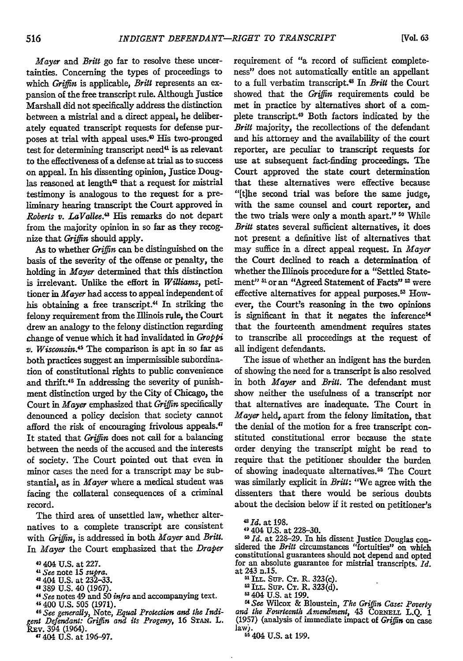*Mayer and Britt* go far to resolve these uncertainties. Concerning the types of proceedings to which *Griffin* is applicable, *Britt* represents an expansion of the free transcript rule. Although Justice Marshall did not specifically address the distinction between a mistrial and a direct appeal, he deliberately equated transcript requests for defense purposes at trial with appeal uses.<sup>40</sup> His two-pronged test for determining transcript need<sup>41</sup> is as relevant to the effectiveness of a defense at trial as to success on appeal. In his dissenting opinion, Justice Douglas reasoned at length<sup>42</sup> that a request for mistrial testimony is analogous to the request for a preliminary hearing transcript the Court approved in *Roberts v. LaVallee."* His remarks do not depart from the majority opinion in so far as they recognize that *Griffin* should apply.

As to whether *Griffin* can be distinguished on the basis of the severity of the offense or penalty, the holding in *Mayer* determined that this distinction is irrelevant. Unlike the effort in *Williams,* petitioner in *Mayer* had access to appeal independent of his obtaining a free transcript.<sup>44</sup> In striking the felony requirement from the Illinois rule, the Court drew an analogy to the felony distinction regarding change of venue which it had invalidated in *Groppi v. Wisconsin.45* The comparison is apt in so far as both practices suggest an impermissible subordination of constitutional rights to public convenience and thrift.46 In addressing the severity of punishment distinction urged **by** the City of Chicago, the Court in *Mayer* emphasized that *Griffin* specifically denounced a policy decision that society cannot afford the risk of encouraging frivolous appeals.<sup>47</sup> It stated that *Griffin* does not call for a balancing between the needs of the accused and the interests of society. The Court pointed out that even in minor cases the need for a transcript may be substantial, as in *Mayer* where a medical student was facing the collateral consequences of a criminal record.

The third area of unsettled law, whether alternatives to a complete transcript are consistent with *Griffin,* is addressed in both *Mayer* and *Britt.* In *Mayer* the Court emphasized that the *Draper*

**0** 404 U.S. at 227.

*41 See* note **15** *supra.* 4 404 U.S. at 232-33.

4"389 U.S. 40 (1967).

*" See* notes 49 and 50 *infra* and accompanying text. 4 400 U.S. 505 (1971).

<sup>46</sup> See generally, Note, Equal Protection and the Indi*gent Defendant: Griffin and its Progeny,* 16 **STAN.** L. Rxv. 394 (1964). 4 404 U.S. at 196-97.

requirement of "a record of sufficient completeness" does not automatically entitle an appellant to a full verbatim transcript.<sup>43</sup> In Britt the Court showed that the *Grifin* requirements could be met in practice by alternatives short of a complete transcript.49 Both factors indicated by the *Britt* majority, the recollections of the defendant and his attorney and the availability of the court reporter, are peculiar to transcript requests for use at subsequent fact-finding proceedings. The Court approved the state court determination that these alternatives were effective because "[tihe second trial was before the same judge, with the same counsel and court reporter, and the two trials were only a month apart." **10** While *Britt* states several sufficient alternatives, it does not present a definitive list of alternatives that may suffice in a direct appeal request. **In** *Mayer* the Court declined to reach a determination of whether the Illinois procedure for a "Settled Statement" **51** or an "Agreed Statement of Facts" **5** were effective alternatives for appeal purposes.<sup>53</sup> However, the Court's reasoning in the two opinions is significant in that it negates the inference<sup>64</sup> that the fourteenth amendment requires states to transcribe all proceedings at the request of all indigent defendants.

The issue of whether an indigent has the burden of showing the need for a transcript is also resolved in both *Mayer* and *Britt.* The defendant must show neither the usefulness of a transcript nor that alternatives are inadequate. The Court in *Mayer* held, apart from the felony limitation, that the denial of the motion for a free transcript constituted constitutional error because the state order denying the transcript might be read to require that the petitioner shoulder the burden of showing inadequate alternatives.<sup>55</sup> The Court was similarly explicit in *Britt:* "We agree with the dissenters that there would be serious doubts about the decision below if it rested on petitioner's

<sup>50</sup> Id. at 228-29. In his dissent Justice Douglas considered the *Britt* circumstances "fortuities" on which constitutional guarantees should not depend and opted for an absolute guarantee for mistrial transcripts. *Id.* at 243 n.15.

"ILL. Sup. **CT.** R. 323(c).

**62** .. Sup. **CT.** R. 323(d).

**&1404** U.S. at 199.

<sup>4</sup>*See* Wilcox & Bloustein, *The Griffin Case: Poverty* and the Fourteenth Amendment, 43 CORNELL L.Q. 1 (1957) (analysis of immediate impact of *Griffin* on case law). **55** 404 U.S. at 199.

<sup>48</sup> *Id.* at **198.**

<sup>&</sup>quot;1404 U.S. at 228-30.